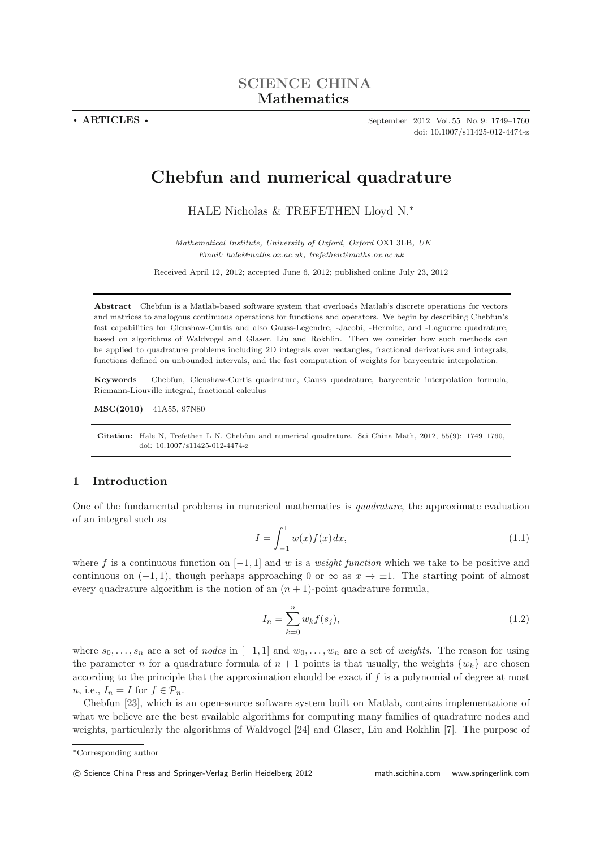**. ARTICLES .** September 2012 Vol. 55 No. 9: 1749–1760 doi: 10.1007/s11425-012-4474-z

# **Chebfun and numerical quadrature**

HALE Nicholas & TREFETHEN Lloyd N.<sup>∗</sup>

*Mathematical Institute, University of Oxford, Oxford* OX1 3LB*, UK Email: hale@maths.ox.ac.uk, trefethen@maths.ox.ac.uk*

Received April 12, 2012; accepted June 6, 2012; published online July 23, 2012

**Abstract** Chebfun is a Matlab-based software system that overloads Matlab's discrete operations for vectors and matrices to analogous continuous operations for functions and operators. We begin by describing Chebfun's fast capabilities for Clenshaw-Curtis and also Gauss-Legendre, -Jacobi, -Hermite, and -Laguerre quadrature, based on algorithms of Waldvogel and Glaser, Liu and Rokhlin. Then we consider how such methods can be applied to quadrature problems including 2D integrals over rectangles, fractional derivatives and integrals, functions defined on unbounded intervals, and the fast computation of weights for barycentric interpolation.

**Keywords** Chebfun, Clenshaw-Curtis quadrature, Gauss quadrature, barycentric interpolation formula, Riemann-Liouville integral, fractional calculus

**MSC(2010)** 41A55, 97N80

**Citation:** Hale N, Trefethen L N. Chebfun and numerical quadrature. Sci China Math, 2012, 55(9): 1749–1760, doi: 10.1007/s11425-012-4474-z

# **1 Introduction**

One of the fundamental problems in numerical mathematics is *quadrature*, the approximate evaluation of an integral such as

$$
I = \int_{-1}^{1} w(x)f(x)dx,
$$
\n(1.1)

where f is a continuous function on  $[-1, 1]$  and w is a *weight function* which we take to be positive and continuous on  $(-1, 1)$ , though perhaps approaching 0 or  $\infty$  as  $x \to \pm 1$ . The starting point of almost every quadrature algorithm is the notion of an  $(n + 1)$ -point quadrature formula,

$$
I_n = \sum_{k=0}^{n} w_k f(s_j),
$$
\n(1.2)

where  $s_0, \ldots, s_n$  are a set of *nodes* in  $[-1, 1]$  and  $w_0, \ldots, w_n$  are a set of *weights*. The reason for using the parameter n for a quadrature formula of  $n + 1$  points is that usually, the weights  $\{w_k\}$  are chosen according to the principle that the approximation should be exact if  $f$  is a polynomial of degree at most *n*, i.e.,  $I_n = I$  for  $f \in \mathcal{P}_n$ .

Chebfun [23], which is an open-source software system built on Matlab, contains implementations of what we believe are the best available algorithms for computing many families of quadrature nodes and weights, particularly the algorithms of Waldvogel [24] and Glaser, Liu and Rokhlin [7]. The purpose of

<sup>∗</sup>Corresponding author

<sup>-</sup>c Science China Press and Springer-Verlag Berlin Heidelberg 2012 math.scichina.com www.springerlink.com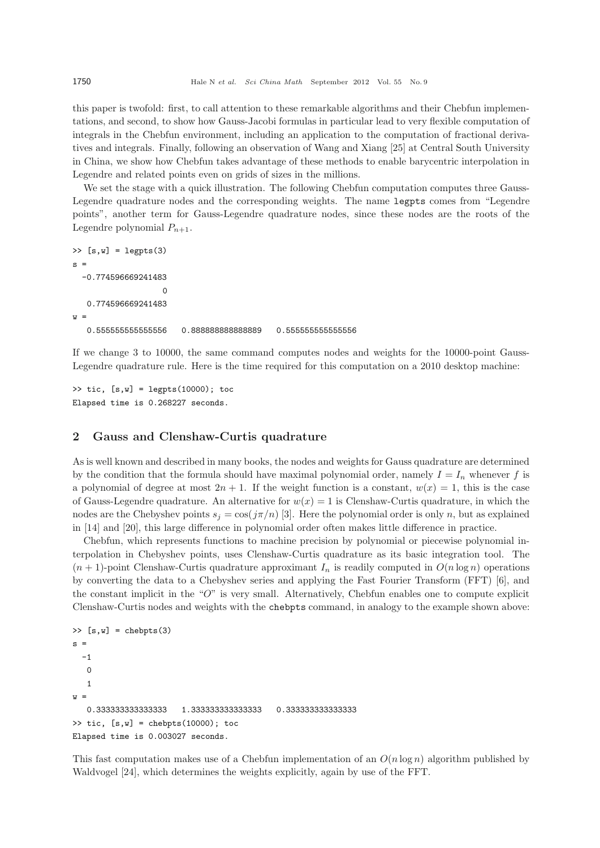this paper is twofold: first, to call attention to these remarkable algorithms and their Chebfun implementations, and second, to show how Gauss-Jacobi formulas in particular lead to very flexible computation of integrals in the Chebfun environment, including an application to the computation of fractional derivatives and integrals. Finally, following an observation of Wang and Xiang [25] at Central South University in China, we show how Chebfun takes advantage of these methods to enable barycentric interpolation in Legendre and related points even on grids of sizes in the millions.

We set the stage with a quick illustration. The following Chebfun computation computes three Gauss-Legendre quadrature nodes and the corresponding weights. The name legpts comes from "Legendre points", another term for Gauss-Legendre quadrature nodes, since these nodes are the roots of the Legendre polynomial  $P_{n+1}$ .

```
\geq [s,w] = legpts(3)
s =-0.774596669241483
                   0
   0.774596669241483
w =0.555555555555556 0.888888888888889 0.555555555555556
```
If we change 3 to 10000, the same command computes nodes and weights for the 10000-point Gauss-Legendre quadrature rule. Here is the time required for this computation on a 2010 desktop machine:

```
\Rightarrow tic, [s,w] = \text{legpts}(10000); toc
Elapsed time is 0.268227 seconds.
```
### **2 Gauss and Clenshaw-Curtis quadrature**

As is well known and described in many books, the nodes and weights for Gauss quadrature are determined by the condition that the formula should have maximal polynomial order, namely  $I = I_n$  whenever f is a polynomial of degree at most  $2n + 1$ . If the weight function is a constant,  $w(x) = 1$ , this is the case of Gauss-Legendre quadrature. An alternative for  $w(x) = 1$  is Clenshaw-Curtis quadrature, in which the nodes are the Chebyshev points  $s_j = \cos(j\pi/n)$  [3]. Here the polynomial order is only n, but as explained in [14] and [20], this large difference in polynomial order often makes little difference in practice.

Chebfun, which represents functions to machine precision by polynomial or piecewise polynomial interpolation in Chebyshev points, uses Clenshaw-Curtis quadrature as its basic integration tool. The  $(n + 1)$ -point Clenshaw-Curtis quadrature approximant  $I_n$  is readily computed in  $O(n \log n)$  operations by converting the data to a Chebyshev series and applying the Fast Fourier Transform (FFT) [6], and the constant implicit in the "O" is very small. Alternatively, Chebfun enables one to compute explicit Clenshaw-Curtis nodes and weights with the chebpts command, in analogy to the example shown above:

```
\Rightarrow [s,w] = chebpts(3)
s =-1\Omega1
w =0.333333333333333 1.333333333333333 0.333333333333333
\Rightarrow tic, [s,w] = chebpts(10000); toc
Elapsed time is 0.003027 seconds.
```
This fast computation makes use of a Chebfun implementation of an  $O(n \log n)$  algorithm published by Waldvogel [24], which determines the weights explicitly, again by use of the FFT.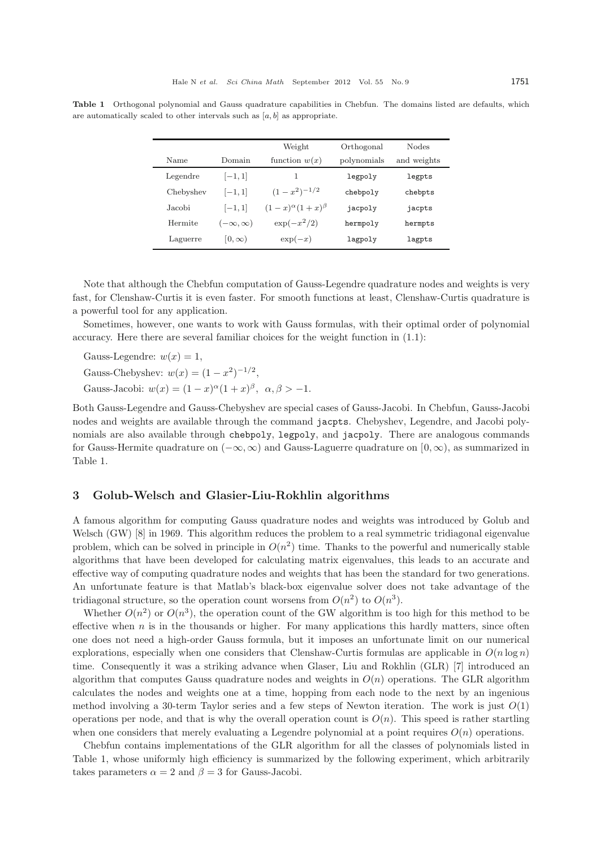|           |                    | Weight                        | Orthogonal  | Nodes       |
|-----------|--------------------|-------------------------------|-------------|-------------|
| Name      | Domain             | function $w(x)$               | polynomials | and weights |
| Legendre  | $[-1, 1]$          | 1                             | legpoly     | legpts      |
| Chebyshev | $[-1, 1]$          | $(1-x^2)^{-1/2}$              | chebpoly    | chebpts     |
| Jacobi    | $[-1, 1]$          | $(1-x)^{\alpha}(1+x)^{\beta}$ | jacpoly     | jacpts      |
| Hermite   | $(-\infty,\infty)$ | $\exp(-x^2/2)$                | hermpoly    | hermpts     |
| Laguerre  | $ 0,\infty)$       | $\exp(-x)$                    | lagpoly     | lagpts      |

**Table 1** Orthogonal polynomial and Gauss quadrature capabilities in Chebfun. The domains listed are defaults, which are automatically scaled to other intervals such as  $[a, b]$  as appropriate.

Note that although the Chebfun computation of Gauss-Legendre quadrature nodes and weights is very fast, for Clenshaw-Curtis it is even faster. For smooth functions at least, Clenshaw-Curtis quadrature is a powerful tool for any application.

Sometimes, however, one wants to work with Gauss formulas, with their optimal order of polynomial accuracy. Here there are several familiar choices for the weight function in (1.1):

Gauss-Legendre:  $w(x) = 1$ , Gauss-Chebyshev:  $w(x) = (1 - x^2)^{-1/2}$ , Gauss-Jacobi:  $w(x) = (1-x)^{\alpha}(1+x)^{\beta}, \alpha, \beta > -1.$ 

Both Gauss-Legendre and Gauss-Chebyshev are special cases of Gauss-Jacobi. In Chebfun, Gauss-Jacobi nodes and weights are available through the command jacpts. Chebyshev, Legendre, and Jacobi polynomials are also available through chebpoly, legpoly, and jacpoly. There are analogous commands for Gauss-Hermite quadrature on  $(-\infty, \infty)$  and Gauss-Laguerre quadrature on  $[0, \infty)$ , as summarized in Table 1.

### **3 Golub-Welsch and Glasier-Liu-Rokhlin algorithms**

A famous algorithm for computing Gauss quadrature nodes and weights was introduced by Golub and Welsch (GW) [8] in 1969. This algorithm reduces the problem to a real symmetric tridiagonal eigenvalue problem, which can be solved in principle in  $O(n^2)$  time. Thanks to the powerful and numerically stable algorithms that have been developed for calculating matrix eigenvalues, this leads to an accurate and effective way of computing quadrature nodes and weights that has been the standard for two generations. An unfortunate feature is that Matlab's black-box eigenvalue solver does not take advantage of the tridiagonal structure, so the operation count worsens from  $O(n^2)$  to  $O(n^3)$ .

Whether  $O(n^2)$  or  $O(n^3)$ , the operation count of the GW algorithm is too high for this method to be effective when  $n$  is in the thousands or higher. For many applications this hardly matters, since often one does not need a high-order Gauss formula, but it imposes an unfortunate limit on our numerical explorations, especially when one considers that Clenshaw-Curtis formulas are applicable in  $O(n \log n)$ time. Consequently it was a striking advance when Glaser, Liu and Rokhlin (GLR) [7] introduced an algorithm that computes Gauss quadrature nodes and weights in  $O(n)$  operations. The GLR algorithm calculates the nodes and weights one at a time, hopping from each node to the next by an ingenious method involving a 30-term Taylor series and a few steps of Newton iteration. The work is just  $O(1)$ operations per node, and that is why the overall operation count is  $O(n)$ . This speed is rather startling when one considers that merely evaluating a Legendre polynomial at a point requires  $O(n)$  operations.

Chebfun contains implementations of the GLR algorithm for all the classes of polynomials listed in Table 1, whose uniformly high efficiency is summarized by the following experiment, which arbitrarily takes parameters  $\alpha = 2$  and  $\beta = 3$  for Gauss-Jacobi.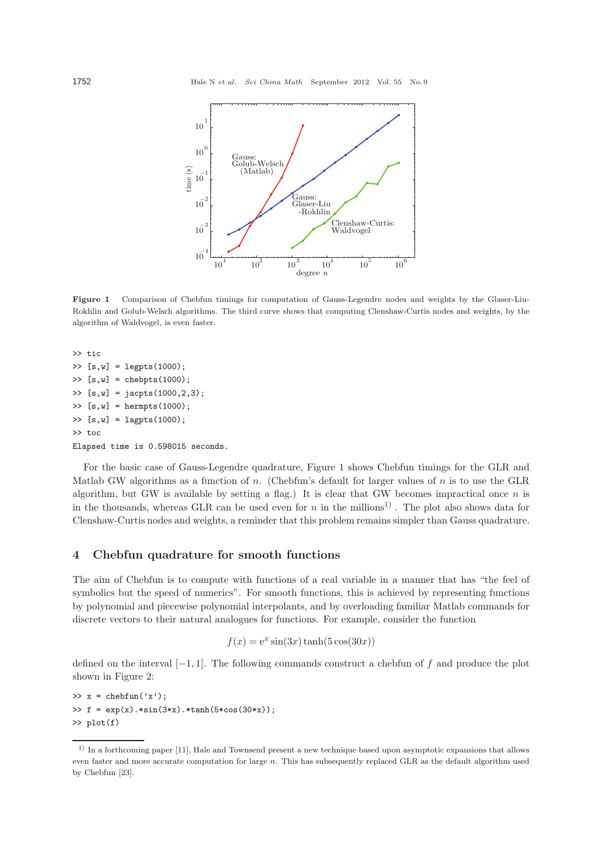

**Figure 1** Comparison of Chebfun timings for computation of Gauss-Legendre nodes and weights by the Glaser-Liu-Rokhlin and Golub-Welsch algorithms. The third curve shows that computing Clenshaw-Curtis nodes and weights, by the algorithm of Waldvogel, is even faster.

```
>> tic
>> [s,w] = legpts(1000);
\Rightarrow [s,w] = chebpts(1000);
\Rightarrow [s,w] = jacpts(1000,2,3);
\Rightarrow [s,w] = hermpts(1000);
\gg [s,w] = lagpts(1000);
>> toc
Elapsed time is 0.598015 seconds.
```
For the basic case of Gauss-Legendre quadrature, Figure 1 shows Chebfun timings for the GLR and Matlab GW algorithms as a function of  $n$ . (Chebfun's default for larger values of  $n$  is to use the GLR algorithm, but GW is available by setting a flag.) It is clear that GW becomes impractical once n is in the thousands, whereas GLR can be used even for n in the millions<sup>1)</sup>. The plot also shows data for Clenshaw-Curtis nodes and weights, a reminder that this problem remains simpler than Gauss quadrature.

#### **4 Chebfun quadrature for smooth functions**

The aim of Chebfun is to compute with functions of a real variable in a manner that has "the feel of symbolics but the speed of numerics". For smooth functions, this is achieved by representing functions by polynomial and piecewise polynomial interpolants, and by overloading familiar Matlab commands for discrete vectors to their natural analogues for functions. For example, consider the function

$$
f(x) = e^x \sin(3x) \tanh(5\cos(30x))
$$

defined on the interval  $[-1, 1]$ . The following commands construct a chebfun of f and produce the plot shown in Figure 2:

 $\Rightarrow$  x = chebfun('x'); >> f =  $exp(x) . *sin(3*x) . *tanh(5 * cos(30 * x))$ ; >> plot(f)

<sup>1)</sup> In a forthcoming paper [11], Hale and Townsend present a new technique based upon asymptotic expansions that allows even faster and more accurate computation for large  $n$ . This has subsequently replaced GLR as the default algorithm used by Chebfun [23].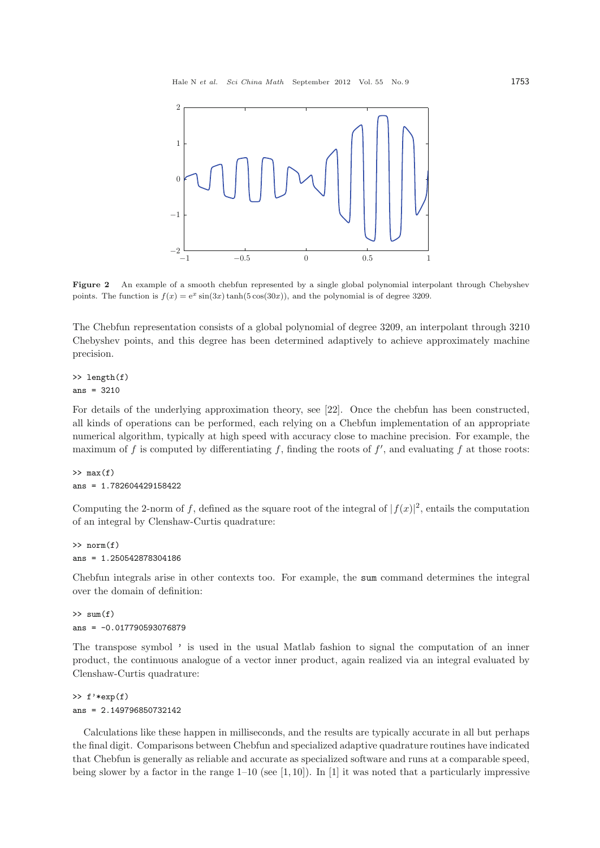

**Figure 2** An example of a smooth chebfun represented by a single global polynomial interpolant through Chebyshev points. The function is  $f(x)=e^x \sin(3x) \tanh(5 \cos(30x))$ , and the polynomial is of degree 3209.

The Chebfun representation consists of a global polynomial of degree 3209, an interpolant through 3210 Chebyshev points, and this degree has been determined adaptively to achieve approximately machine precision.

#### >> length(f) ans = 3210

For details of the underlying approximation theory, see [22]. Once the chebfun has been constructed, all kinds of operations can be performed, each relying on a Chebfun implementation of an appropriate numerical algorithm, typically at high speed with accuracy close to machine precision. For example, the maximum of f is computed by differentiating f, finding the roots of  $f'$ , and evaluating f at those roots:

# $\gg$  max $(f)$ ans = 1.782604429158422

Computing the 2-norm of f, defined as the square root of the integral of  $|f(x)|^2$ , entails the computation of an integral by Clenshaw-Curtis quadrature:

```
>> norm(f)
ans = 1.250542878304186
```
Chebfun integrals arise in other contexts too. For example, the sum command determines the integral over the domain of definition:

 $\gg$  sum(f) ans  $= -0.017790593076879$ 

The transpose symbol ' is used in the usual Matlab fashion to signal the computation of an inner product, the continuous analogue of a vector inner product, again realized via an integral evaluated by Clenshaw-Curtis quadrature:

>> f'\*exp(f) ans = 2.149796850732142

Calculations like these happen in milliseconds, and the results are typically accurate in all but perhaps the final digit. Comparisons between Chebfun and specialized adaptive quadrature routines have indicated that Chebfun is generally as reliable and accurate as specialized software and runs at a comparable speed, being slower by a factor in the range  $1-10$  (see [1, 10]). In [1] it was noted that a particularly impressive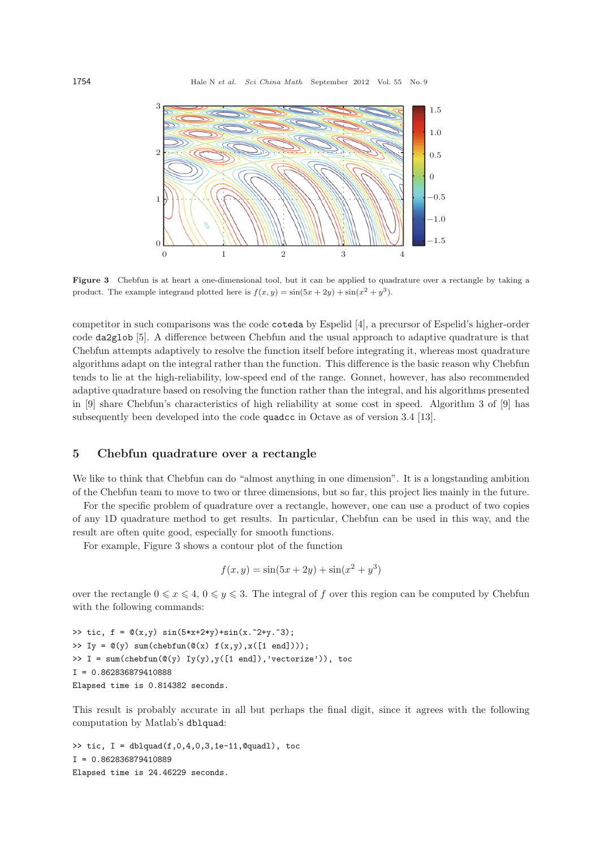

Figure 3 Chebfun is at heart a one-dimensional tool, but it can be applied to quadrature over a rectangle by taking a product. The example integrand plotted here is  $f(x, y) = \sin(5x + 2y) + \sin(x^2 + y^3)$ .

competitor in such comparisons was the code coteda by Espelid [4], a precursor of Espelid's higher-order code da2glob [5]. A difference between Chebfun and the usual approach to adaptive quadrature is that Chebfun attempts adaptively to resolve the function itself before integrating it, whereas most quadrature algorithms adapt on the integral rather than the function. This difference is the basic reason why Chebfun tends to lie at the high-reliability, low-speed end of the range. Gonnet, however, has also recommended adaptive quadrature based on resolving the function rather than the integral, and his algorithms presented in [9] share Chebfun's characteristics of high reliability at some cost in speed. Algorithm 3 of [9] has subsequently been developed into the code quadcc in Octave as of version 3.4 [13].

### **5 Chebfun quadrature over a rectangle**

We like to think that Chebfun can do "almost anything in one dimension". It is a longstanding ambition of the Chebfun team to move to two or three dimensions, but so far, this project lies mainly in the future.

For the specific problem of quadrature over a rectangle, however, one can use a product of two copies of any 1D quadrature method to get results. In particular, Chebfun can be used in this way, and the result are often quite good, especially for smooth functions.

For example, Figure 3 shows a contour plot of the function

$$
f(x, y) = \sin(5x + 2y) + \sin(x^{2} + y^{3})
$$

over the rectangle  $0 \le x \le 4$ ,  $0 \le y \le 3$ . The integral of f over this region can be computed by Chebfun with the following commands:

```
>> tic, f = \mathbb{Q}(x,y) \sin(5*x+2*y) + sin(x.^2+y.^3);\Rightarrow Iy = \mathfrak{O}(y) sum(chebfun(\mathfrak{O}(x) f(x,y),x([1 end])));
\Rightarrow I = \text{sum}(\text{chebfun}(\mathbb{Q}(y), Y(y), y([1 \text{ end}]), 'vectorize')), toc
I = 0.862836879410888
Elapsed time is 0.814382 seconds.
```
This result is probably accurate in all but perhaps the final digit, since it agrees with the following computation by Matlab's dblquad:

>> tic,  $I = \text{dbly} (f, 0, 4, 0, 3, 1e-11, \text{0} \text{quad}$ , toc I = 0.862836879410889 Elapsed time is 24.46229 seconds.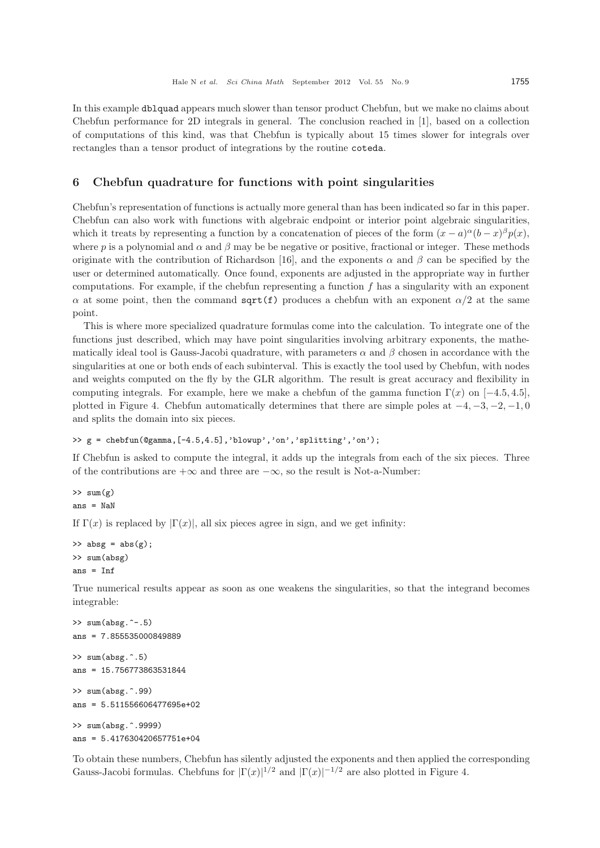In this example dblquad appears much slower than tensor product Chebfun, but we make no claims about Chebfun performance for 2D integrals in general. The conclusion reached in [1], based on a collection of computations of this kind, was that Chebfun is typically about 15 times slower for integrals over rectangles than a tensor product of integrations by the routine coteda.

# **6 Chebfun quadrature for functions with point singularities**

Chebfun's representation of functions is actually more general than has been indicated so far in this paper. Chebfun can also work with functions with algebraic endpoint or interior point algebraic singularities, which it treats by representing a function by a concatenation of pieces of the form  $(x - a)^{\alpha} (b - x)^{\beta} p(x)$ , where p is a polynomial and  $\alpha$  and  $\beta$  may be be negative or positive, fractional or integer. These methods originate with the contribution of Richardson [16], and the exponents  $\alpha$  and  $\beta$  can be specified by the user or determined automatically. Once found, exponents are adjusted in the appropriate way in further computations. For example, if the chebfun representing a function  $f$  has a singularity with an exponent  $\alpha$  at some point, then the command sqrt(f) produces a chebfun with an exponent  $\alpha/2$  at the same point.

This is where more specialized quadrature formulas come into the calculation. To integrate one of the functions just described, which may have point singularities involving arbitrary exponents, the mathematically ideal tool is Gauss-Jacobi quadrature, with parameters  $\alpha$  and  $\beta$  chosen in accordance with the singularities at one or both ends of each subinterval. This is exactly the tool used by Chebfun, with nodes and weights computed on the fly by the GLR algorithm. The result is great accuracy and flexibility in computing integrals. For example, here we make a chebfun of the gamma function  $\Gamma(x)$  on [−4.5, 4.5], plotted in Figure 4. Chebfun automatically determines that there are simple poles at  $-4, -3, -2, -1, 0$ and splits the domain into six pieces.

```
>> g = \text{chebfun}(\text{Qgamma}, [-4.5, 4.5], 'blowup', 'on', 'splitting', 'on');
```
If Chebfun is asked to compute the integral, it adds up the integrals from each of the six pieces. Three of the contributions are  $+\infty$  and three are  $-\infty$ , so the result is Not-a-Number:

 $\gg$  sum $(g)$  $ans =$ NaN

If  $\Gamma(x)$  is replaced by  $|\Gamma(x)|$ , all six pieces agree in sign, and we get infinity:

```
\gg absg = abs(g);
>> sum(absg)
ans = Inf
```
True numerical results appear as soon as one weakens the singularities, so that the integrand becomes integrable:

```
>> sum(absg.^-.5)
ans = 7.855535000849889
>> sum(absg.^.5)
ans = 15.756773863531844
>> sum(absg.^.99)
ans = 5.511556606477695e+02
>> sum(absg.^.9999)
ans = 5.417630420657751e+04
```
To obtain these numbers, Chebfun has silently adjusted the exponents and then applied the corresponding Gauss-Jacobi formulas. Chebfuns for  $|\Gamma(x)|^{1/2}$  and  $|\Gamma(x)|^{-1/2}$  are also plotted in Figure 4.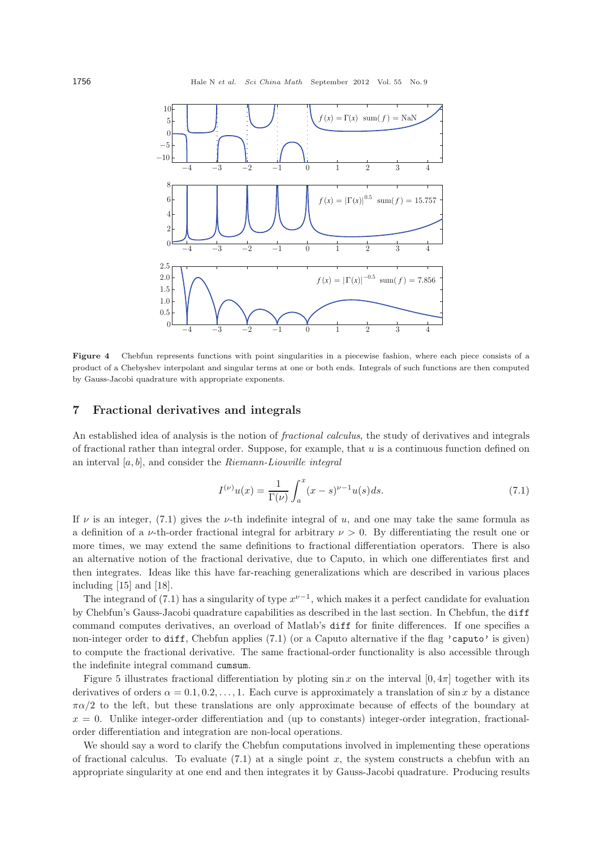

**Figure 4** Chebfun represents functions with point singularities in a piecewise fashion, where each piece consists of a product of a Chebyshev interpolant and singular terms at one or both ends. Integrals of such functions are then computed by Gauss-Jacobi quadrature with appropriate exponents.

#### **7 Fractional derivatives and integrals**

An established idea of analysis is the notion of *fractional calculus*, the study of derivatives and integrals of fractional rather than integral order. Suppose, for example, that u is a continuous function defined on an interval [a, b], and consider the *Riemann-Liouville integral*

$$
I^{(\nu)}u(x) = \frac{1}{\Gamma(\nu)} \int_{a}^{x} (x - s)^{\nu - 1} u(s) ds.
$$
 (7.1)

If  $\nu$  is an integer, (7.1) gives the  $\nu$ -th indefinite integral of u, and one may take the same formula as a definition of a *ν*-th-order fractional integral for arbitrary  $\nu > 0$ . By differentiating the result one or more times, we may extend the same definitions to fractional differentiation operators. There is also an alternative notion of the fractional derivative, due to Caputo, in which one differentiates first and then integrates. Ideas like this have far-reaching generalizations which are described in various places including [15] and [18].

The integrand of (7.1) has a singularity of type  $x^{\nu-1}$ , which makes it a perfect candidate for evaluation by Chebfun's Gauss-Jacobi quadrature capabilities as described in the last section. In Chebfun, the diff command computes derivatives, an overload of Matlab's diff for finite differences. If one specifies a non-integer order to diff, Chebfun applies (7.1) (or a Caputo alternative if the flag 'caputo' is given) to compute the fractional derivative. The same fractional-order functionality is also accessible through the indefinite integral command cumsum.

Figure 5 illustrates fractional differentiation by ploting  $\sin x$  on the interval  $[0, 4\pi]$  together with its derivatives of orders  $\alpha = 0.1, 0.2, \ldots, 1$ . Each curve is approximately a translation of sin x by a distance  $\pi\alpha/2$  to the left, but these translations are only approximate because of effects of the boundary at  $x = 0$ . Unlike integer-order differentiation and (up to constants) integer-order integration, fractionalorder differentiation and integration are non-local operations.

We should say a word to clarify the Chebfun computations involved in implementing these operations of fractional calculus. To evaluate  $(7.1)$  at a single point x, the system constructs a chebfun with an appropriate singularity at one end and then integrates it by Gauss-Jacobi quadrature. Producing results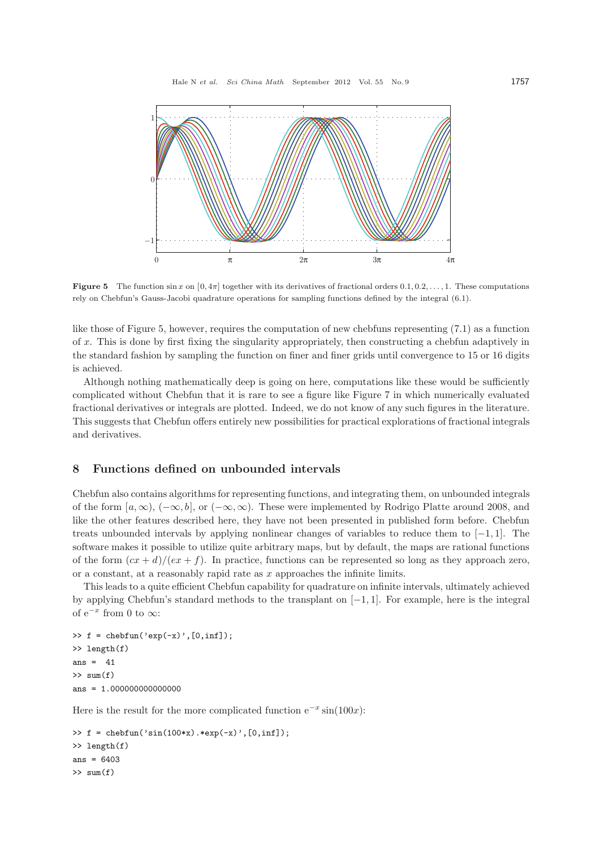

**Figure 5** The function  $\sin x$  on  $[0, 4\pi]$  together with its derivatives of fractional orders  $[0.1, 0.2, \ldots, 1]$ . These computations rely on Chebfun's Gauss-Jacobi quadrature operations for sampling functions defined by the integral (6.1).

like those of Figure 5, however, requires the computation of new chebfuns representing (7.1) as a function of x. This is done by first fixing the singularity appropriately, then constructing a chebfun adaptively in the standard fashion by sampling the function on finer and finer grids until convergence to 15 or 16 digits is achieved.

Although nothing mathematically deep is going on here, computations like these would be sufficiently complicated without Chebfun that it is rare to see a figure like Figure 7 in which numerically evaluated fractional derivatives or integrals are plotted. Indeed, we do not know of any such figures in the literature. This suggests that Chebfun offers entirely new possibilities for practical explorations of fractional integrals and derivatives.

## **8 Functions defined on unbounded intervals**

Chebfun also contains algorithms for representing functions, and integrating them, on unbounded integrals of the form  $[a,\infty), (-\infty,b],$  or  $(-\infty,\infty)$ . These were implemented by Rodrigo Platte around 2008, and like the other features described here, they have not been presented in published form before. Chebfun treats unbounded intervals by applying nonlinear changes of variables to reduce them to [−1, 1]. The software makes it possible to utilize quite arbitrary maps, but by default, the maps are rational functions of the form  $(cx + d)/(ex + f)$ . In practice, functions can be represented so long as they approach zero, or a constant, at a reasonably rapid rate as  $x$  approaches the infinite limits.

This leads to a quite efficient Chebfun capability for quadrature on infinite intervals, ultimately achieved by applying Chebfun's standard methods to the transplant on [−1, 1]. For example, here is the integral of  $e^{-x}$  from 0 to  $\infty$ :

 $\Rightarrow$  f = chebfun('exp(-x)',[0,inf]); >> length(f) ans  $= 41$  $\gg$  sum(f)  $ans = 1.000000000000000$ 

Here is the result for the more complicated function  $e^{-x} \sin(100x)$ :

```
\Rightarrow f = chebfun('sin(100*x).*exp(-x)',[0,inf]);
>> length(f)
ans = 6403\gg sum(f)
```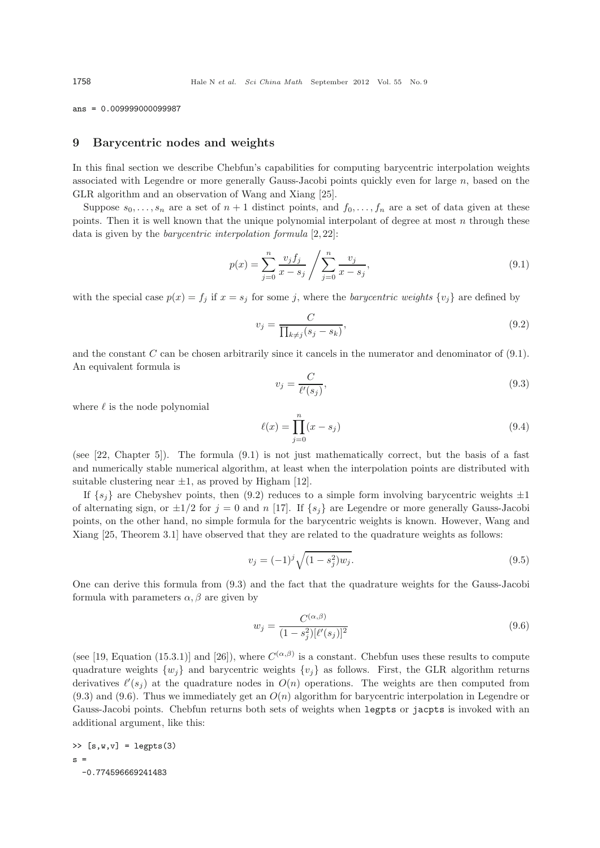ans = 0.009999000099987

#### **9 Barycentric nodes and weights**

In this final section we describe Chebfun's capabilities for computing barycentric interpolation weights associated with Legendre or more generally Gauss-Jacobi points quickly even for large n, based on the GLR algorithm and an observation of Wang and Xiang [25].

Suppose  $s_0, \ldots, s_n$  are a set of  $n + 1$  distinct points, and  $f_0, \ldots, f_n$  are a set of data given at these points. Then it is well known that the unique polynomial interpolant of degree at most  $n$  through these data is given by the *barycentric interpolation formula* [2, 22]:

$$
p(x) = \sum_{j=0}^{n} \frac{v_j f_j}{x - s_j} / \sum_{j=0}^{n} \frac{v_j}{x - s_j},
$$
\n(9.1)

with the special case  $p(x) = f_j$  if  $x = s_j$  for some j, where the *barycentric weights*  $\{v_j\}$  are defined by

$$
v_j = \frac{C}{\prod_{k \neq j} (s_j - s_k)},\tag{9.2}
$$

and the constant  $C$  can be chosen arbitrarily since it cancels in the numerator and denominator of  $(9.1)$ . An equivalent formula is

$$
v_j = \frac{C}{\ell'(s_j)},\tag{9.3}
$$

where  $\ell$  is the node polynomial

$$
\ell(x) = \prod_{j=0}^{n} (x - s_j)
$$
\n(9.4)

(see [22, Chapter 5]). The formula (9.1) is not just mathematically correct, but the basis of a fast and numerically stable numerical algorithm, at least when the interpolation points are distributed with suitable clustering near  $\pm 1$ , as proved by Higham [12].

If  $\{s_i\}$  are Chebyshev points, then (9.2) reduces to a simple form involving barycentric weights  $\pm 1$ of alternating sign, or  $\pm 1/2$  for  $j = 0$  and n [17]. If  $\{s_i\}$  are Legendre or more generally Gauss-Jacobi points, on the other hand, no simple formula for the barycentric weights is known. However, Wang and Xiang [25, Theorem 3.1] have observed that they are related to the quadrature weights as follows:

$$
v_j = (-1)^j \sqrt{(1 - s_j^2) w_j}.
$$
\n(9.5)

One can derive this formula from (9.3) and the fact that the quadrature weights for the Gauss-Jacobi formula with parameters  $\alpha, \beta$  are given by

$$
w_j = \frac{C^{(\alpha,\beta)}}{(1 - s_j^2)[\ell'(s_j)]^2}
$$
\n(9.6)

(see [19, Equation (15.3.1)] and [26]), where  $C^{(\alpha,\beta)}$  is a constant. Chebfun uses these results to compute quadrature weights  $\{w_i\}$  and barycentric weights  $\{v_i\}$  as follows. First, the GLR algorithm returns derivatives  $\ell'(s_j)$  at the quadrature nodes in  $O(n)$  operations. The weights are then computed from  $(9.3)$  and  $(9.6)$ . Thus we immediately get an  $O(n)$  algorithm for barycentric interpolation in Legendre or Gauss-Jacobi points. Chebfun returns both sets of weights when legpts or jacpts is invoked with an additional argument, like this:

 $\geq$  [s,w,v] = legpts(3)  $s =$ -0.774596669241483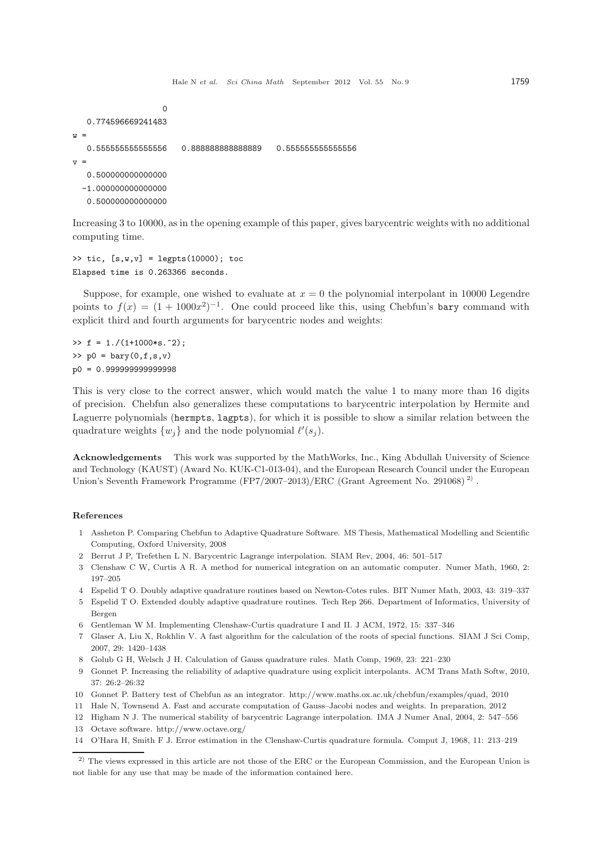```
\Omega0.774596669241483
W =0.555555555555556 0.888888888888889 0.555555555555556
V =0.500000000000000
  -1.000000000000000
```
0.500000000000000

Increasing 3 to 10000, as in the opening example of this paper, gives barycentric weights with no additional computing time.

```
\gg tic, [s,w,v] = \text{legpts}(10000); toc
Elapsed time is 0.263366 seconds.
```
Suppose, for example, one wished to evaluate at  $x = 0$  the polynomial interpolant in 10000 Legendre points to  $f(x) = (1 + 1000x^2)^{-1}$ . One could proceed like this, using Chebfun's bary command with explicit third and fourth arguments for barycentric nodes and weights:

 $\Rightarrow$  f = 1./(1+1000\*s.^2);  $\gg$  p0 = bary(0,f,s,v) p0 = 0.999999999999998

This is very close to the correct answer, which would match the value 1 to many more than 16 digits of precision. Chebfun also generalizes these computations to barycentric interpolation by Hermite and Laguerre polynomials (hermpts, lagpts), for which it is possible to show a similar relation between the quadrature weights  $\{w_j\}$  and the node polynomial  $\ell'(s_j)$ .

**Acknowledgements** This work was supported by the MathWorks, Inc., King Abdullah University of Science and Technology (KAUST) (Award No. KUK-C1-013-04), and the European Research Council under the European Union's Seventh Framework Programme (FP7/2007–2013)/ERC (Grant Agreement No. 291068)<sup>2)</sup>.

#### **References**

- 1 Assheton P. Comparing Chebfun to Adaptive Quadrature Software. MS Thesis, Mathematical Modelling and Scientific Computing, Oxford University, 2008
- 2 Berrut J P, Trefethen L N. Barycentric Lagrange interpolation. SIAM Rev, 2004, 46: 501–517
- 3 Clenshaw C W, Curtis A R. A method for numerical integration on an automatic computer. Numer Math, 1960, 2: 197–205
- 4 Espelid T O. Doubly adaptive quadrature routines based on Newton-Cotes rules. BIT Numer Math, 2003, 43: 319–337
- 5 Espelid T O. Extended doubly adaptive quadrature routines. Tech Rep 266. Department of Informatics, University of Bergen
- 6 Gentleman W M. Implementing Clenshaw-Curtis quadrature I and II. J ACM, 1972, 15: 337–346
- 7 Glaser A, Liu X, Rokhlin V. A fast algorithm for the calculation of the roots of special functions. SIAM J Sci Comp, 2007, 29: 1420–1438
- 8 Golub G H, Welsch J H. Calculation of Gauss quadrature rules. Math Comp, 1969, 23: 221–230
- 9 Gonnet P. Increasing the reliability of adaptive quadrature using explicit interpolants. ACM Trans Math Softw, 2010, 37: 26:2–26:32
- 10 Gonnet P. Battery test of Chebfun as an integrator. http://www.maths.ox.ac.uk/chebfun/examples/quad, 2010
- 11 Hale N, Townsend A. Fast and accurate computation of Gauss–Jacobi nodes and weights. In preparation, 2012
- 12 Higham N J. The numerical stability of barycentric Lagrange interpolation. IMA J Numer Anal, 2004, 2: 547–556 13 Octave software. http://www.octave.org/
- 
- 14 O'Hara H, Smith F J. Error estimation in the Clenshaw-Curtis quadrature formula. Comput J, 1968, 11: 213–219

<sup>&</sup>lt;sup>2)</sup> The views expressed in this article are not those of the ERC or the European Commission, and the European Union is not liable for any use that may be made of the information contained here.